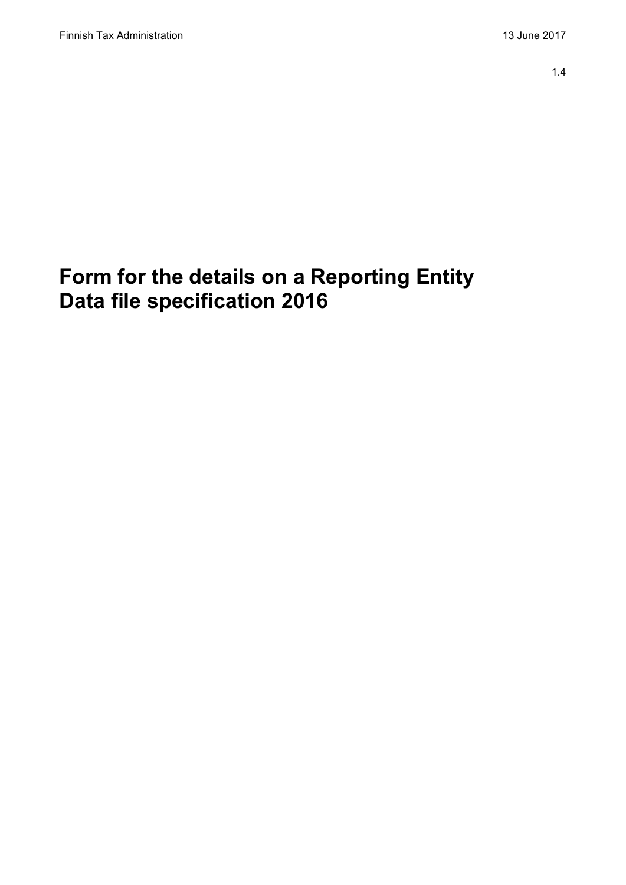# **Form for the details on a Reporting Entity Data file specification 2016**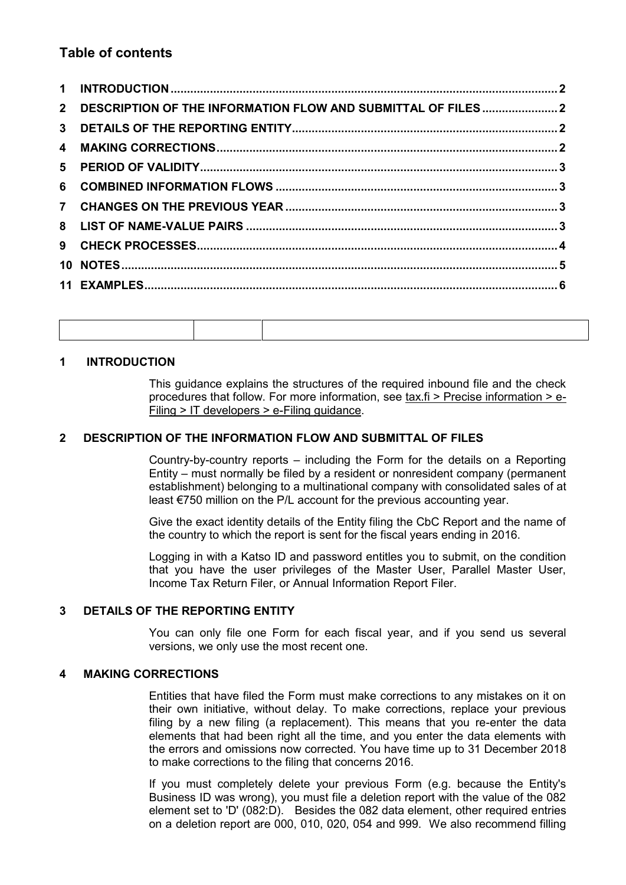# **Table of contents**

| 2 DESCRIPTION OF THE INFORMATION FLOW AND SUBMITTAL OF FILES 2 |  |
|----------------------------------------------------------------|--|
|                                                                |  |
|                                                                |  |
|                                                                |  |
|                                                                |  |
|                                                                |  |
|                                                                |  |
|                                                                |  |
|                                                                |  |
|                                                                |  |

### <span id="page-1-0"></span>**1 INTRODUCTION**

This guidance explains the structures of the required inbound file and the check procedures that follow. For more information, see tax.fi > Precise information > e-Filing > IT developers > e-Filing guidance.

#### <span id="page-1-1"></span>**2 DESCRIPTION OF THE INFORMATION FLOW AND SUBMITTAL OF FILES**

Country-by-country reports – including the Form for the details on a Reporting Entity – must normally be filed by a resident or nonresident company (permanent establishment) belonging to a multinational company with consolidated sales of at least €750 million on the P/L account for the previous accounting year.

Give the exact identity details of the Entity filing the CbC Report and the name of the country to which the report is sent for the fiscal years ending in 2016.

Logging in with a Katso ID and password entitles you to submit, on the condition that you have the user privileges of the Master User, Parallel Master User, Income Tax Return Filer, or Annual Information Report Filer.

#### <span id="page-1-2"></span>**3 DETAILS OF THE REPORTING ENTITY**

You can only file one Form for each fiscal year, and if you send us several versions, we only use the most recent one.

#### <span id="page-1-3"></span>**4 MAKING CORRECTIONS**

Entities that have filed the Form must make corrections to any mistakes on it on their own initiative, without delay. To make corrections, replace your previous filing by a new filing (a replacement). This means that you re-enter the data elements that had been right all the time, and you enter the data elements with the errors and omissions now corrected. You have time up to 31 December 2018 to make corrections to the filing that concerns 2016.

If you must completely delete your previous Form (e.g. because the Entity's Business ID was wrong), you must file a deletion report with the value of the 082 element set to 'D' (082:D). Besides the 082 data element, other required entries on a deletion report are 000, 010, 020, 054 and 999. We also recommend filling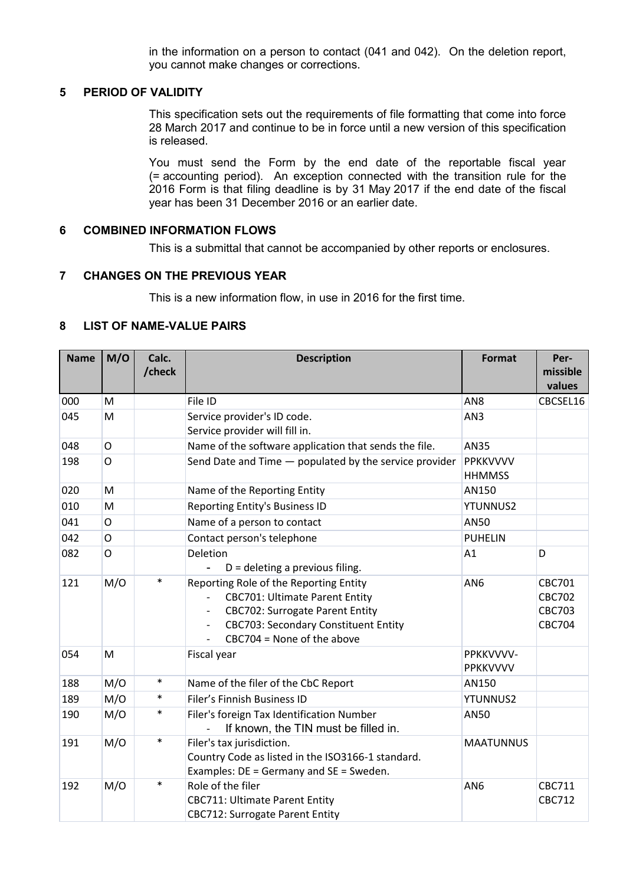in the information on a person to contact (041 and 042). On the deletion report, you cannot make changes or corrections.

#### <span id="page-2-0"></span>**5 PERIOD OF VALIDITY**

This specification sets out the requirements of file formatting that come into force 28 March 2017 and continue to be in force until a new version of this specification is released.

You must send the Form by the end date of the reportable fiscal year (= accounting period). An exception connected with the transition rule for the 2016 Form is that filing deadline is by 31 May 2017 if the end date of the fiscal year has been 31 December 2016 or an earlier date.

#### <span id="page-2-1"></span>**6 COMBINED INFORMATION FLOWS**

This is a submittal that cannot be accompanied by other reports or enclosures.

#### <span id="page-2-2"></span>**7 CHANGES ON THE PREVIOUS YEAR**

This is a new information flow, in use in 2016 for the first time.

#### <span id="page-2-3"></span>**8 LIST OF NAME-VALUE PAIRS**

| <b>Name</b> | M/O          | Calc.  | <b>Description</b>                                                                                                                                                                                                                                               | <b>Format</b>                    | Per-                                                             |
|-------------|--------------|--------|------------------------------------------------------------------------------------------------------------------------------------------------------------------------------------------------------------------------------------------------------------------|----------------------------------|------------------------------------------------------------------|
|             |              | /check |                                                                                                                                                                                                                                                                  |                                  | missible<br>values                                               |
| 000         | M            |        | File ID                                                                                                                                                                                                                                                          | AN <sub>8</sub>                  | CBCSEL16                                                         |
| 045         | M            |        | Service provider's ID code.                                                                                                                                                                                                                                      | AN <sub>3</sub>                  |                                                                  |
|             |              |        | Service provider will fill in.                                                                                                                                                                                                                                   |                                  |                                                                  |
| 048         | $\circ$      |        | Name of the software application that sends the file.                                                                                                                                                                                                            | <b>AN35</b>                      |                                                                  |
| 198         | $\mathsf{O}$ |        | Send Date and Time - populated by the service provider                                                                                                                                                                                                           | <b>PPKKVVVV</b><br><b>HHMMSS</b> |                                                                  |
| 020         | M            |        | Name of the Reporting Entity                                                                                                                                                                                                                                     | AN150                            |                                                                  |
| 010         | M            |        | Reporting Entity's Business ID                                                                                                                                                                                                                                   | <b>YTUNNUS2</b>                  |                                                                  |
| 041         | $\circ$      |        | Name of a person to contact                                                                                                                                                                                                                                      | <b>AN50</b>                      |                                                                  |
| 042         | $\mathsf{O}$ |        | Contact person's telephone                                                                                                                                                                                                                                       | <b>PUHELIN</b>                   |                                                                  |
| 082         | $\mathsf{O}$ |        | Deletion<br>$D =$ deleting a previous filing.                                                                                                                                                                                                                    | A1                               | D                                                                |
| 121         | M/O          | $\ast$ | Reporting Role of the Reporting Entity<br><b>CBC701: Ultimate Parent Entity</b><br><b>CBC702: Surrogate Parent Entity</b><br>$\overline{\phantom{a}}$<br><b>CBC703: Secondary Constituent Entity</b><br>$\overline{\phantom{a}}$<br>$CBC704 = None of the above$ | AN <sub>6</sub>                  | <b>CBC701</b><br><b>CBC702</b><br><b>CBC703</b><br><b>CBC704</b> |
| 054         | M            |        | Fiscal year                                                                                                                                                                                                                                                      | PPKKVVVV-<br>PPKKVVVV            |                                                                  |
| 188         | M/O          | $\ast$ | Name of the filer of the CbC Report                                                                                                                                                                                                                              | AN150                            |                                                                  |
| 189         | M/O          | $\ast$ | Filer's Finnish Business ID                                                                                                                                                                                                                                      | <b>YTUNNUS2</b>                  |                                                                  |
| 190         | M/O          | $\ast$ | Filer's foreign Tax Identification Number<br>If known, the TIN must be filled in.                                                                                                                                                                                | AN50                             |                                                                  |
| 191         | M/O          | $\ast$ | Filer's tax jurisdiction.<br>Country Code as listed in the ISO3166-1 standard.<br>Examples: DE = Germany and SE = Sweden.                                                                                                                                        | <b>MAATUNNUS</b>                 |                                                                  |
| 192         | M/O          | $\ast$ | Role of the filer<br><b>CBC711: Ultimate Parent Entity</b><br><b>CBC712: Surrogate Parent Entity</b>                                                                                                                                                             | AN <sub>6</sub>                  | CBC711<br><b>CBC712</b>                                          |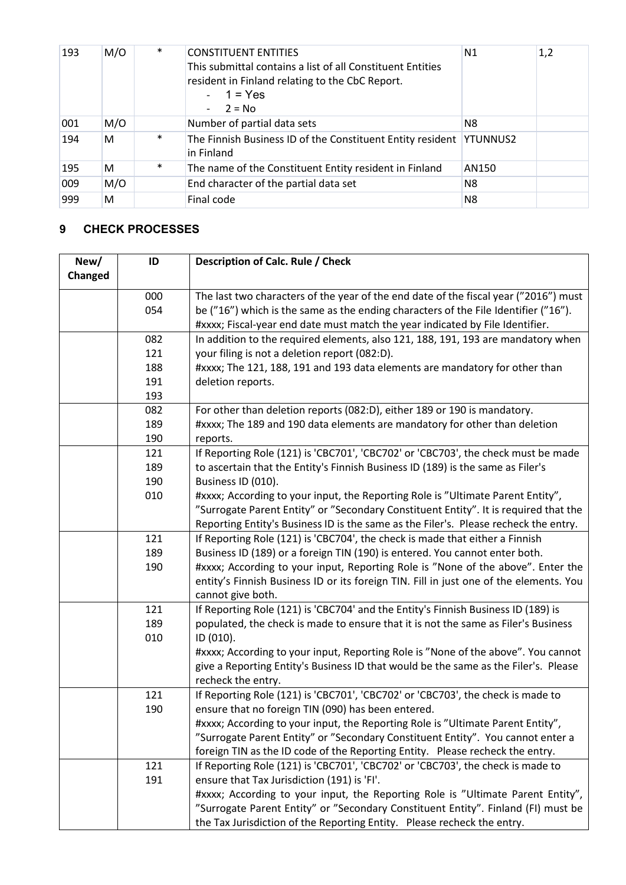| 193 | M/O | $\ast$ | <b>CONSTITUENT ENTITIES</b><br>This submittal contains a list of all Constituent Entities<br>resident in Finland relating to the CbC Report.<br>$-1 = Yes$<br>$-2 = No$ | N1    | 1,2 |
|-----|-----|--------|-------------------------------------------------------------------------------------------------------------------------------------------------------------------------|-------|-----|
| 001 | M/O |        | Number of partial data sets                                                                                                                                             | N8    |     |
| 194 | м   | $\ast$ | The Finnish Business ID of the Constituent Entity resident YTUNNUS2<br>in Finland                                                                                       |       |     |
| 195 | м   | $\ast$ | The name of the Constituent Entity resident in Finland                                                                                                                  | AN150 |     |
| 009 | M/O |        | End character of the partial data set                                                                                                                                   | N8    |     |
| 999 | м   |        | Final code                                                                                                                                                              | N8    |     |

# <span id="page-3-0"></span>**9 CHECK PROCESSES**

| New/    | ID  | Description of Calc. Rule / Check                                                      |
|---------|-----|----------------------------------------------------------------------------------------|
| Changed |     |                                                                                        |
|         | 000 | The last two characters of the year of the end date of the fiscal year ("2016") must   |
|         | 054 | be ("16") which is the same as the ending characters of the File Identifier ("16").    |
|         |     | #xxxx; Fiscal-year end date must match the year indicated by File Identifier.          |
|         | 082 | In addition to the required elements, also 121, 188, 191, 193 are mandatory when       |
|         | 121 | your filing is not a deletion report (082:D).                                          |
|         | 188 | #xxxx; The 121, 188, 191 and 193 data elements are mandatory for other than            |
|         | 191 | deletion reports.                                                                      |
|         | 193 |                                                                                        |
|         | 082 | For other than deletion reports (082:D), either 189 or 190 is mandatory.               |
|         | 189 | #xxxx; The 189 and 190 data elements are mandatory for other than deletion             |
|         | 190 | reports.                                                                               |
|         | 121 | If Reporting Role (121) is 'CBC701', 'CBC702' or 'CBC703', the check must be made      |
|         | 189 | to ascertain that the Entity's Finnish Business ID (189) is the same as Filer's        |
|         | 190 | Business ID (010).                                                                     |
|         | 010 | #xxxx; According to your input, the Reporting Role is "Ultimate Parent Entity",        |
|         |     | "Surrogate Parent Entity" or "Secondary Constituent Entity". It is required that the   |
|         |     | Reporting Entity's Business ID is the same as the Filer's. Please recheck the entry.   |
|         | 121 | If Reporting Role (121) is 'CBC704', the check is made that either a Finnish           |
|         | 189 | Business ID (189) or a foreign TIN (190) is entered. You cannot enter both.            |
|         | 190 | #xxxx; According to your input, Reporting Role is "None of the above". Enter the       |
|         |     | entity's Finnish Business ID or its foreign TIN. Fill in just one of the elements. You |
|         |     | cannot give both.                                                                      |
|         | 121 | If Reporting Role (121) is 'CBC704' and the Entity's Finnish Business ID (189) is      |
|         | 189 | populated, the check is made to ensure that it is not the same as Filer's Business     |
|         | 010 | ID (010).                                                                              |
|         |     | #xxxx; According to your input, Reporting Role is "None of the above". You cannot      |
|         |     | give a Reporting Entity's Business ID that would be the same as the Filer's. Please    |
|         |     | recheck the entry.                                                                     |
|         | 121 | If Reporting Role (121) is 'CBC701', 'CBC702' or 'CBC703', the check is made to        |
|         | 190 | ensure that no foreign TIN (090) has been entered.                                     |
|         |     | #xxxx; According to your input, the Reporting Role is "Ultimate Parent Entity",        |
|         |     | "Surrogate Parent Entity" or "Secondary Constituent Entity". You cannot enter a        |
|         |     | foreign TIN as the ID code of the Reporting Entity. Please recheck the entry.          |
|         | 121 | If Reporting Role (121) is 'CBC701', 'CBC702' or 'CBC703', the check is made to        |
|         | 191 | ensure that Tax Jurisdiction (191) is 'FI'.                                            |
|         |     | #xxxx; According to your input, the Reporting Role is "Ultimate Parent Entity",        |
|         |     | "Surrogate Parent Entity" or "Secondary Constituent Entity". Finland (FI) must be      |
|         |     | the Tax Jurisdiction of the Reporting Entity. Please recheck the entry.                |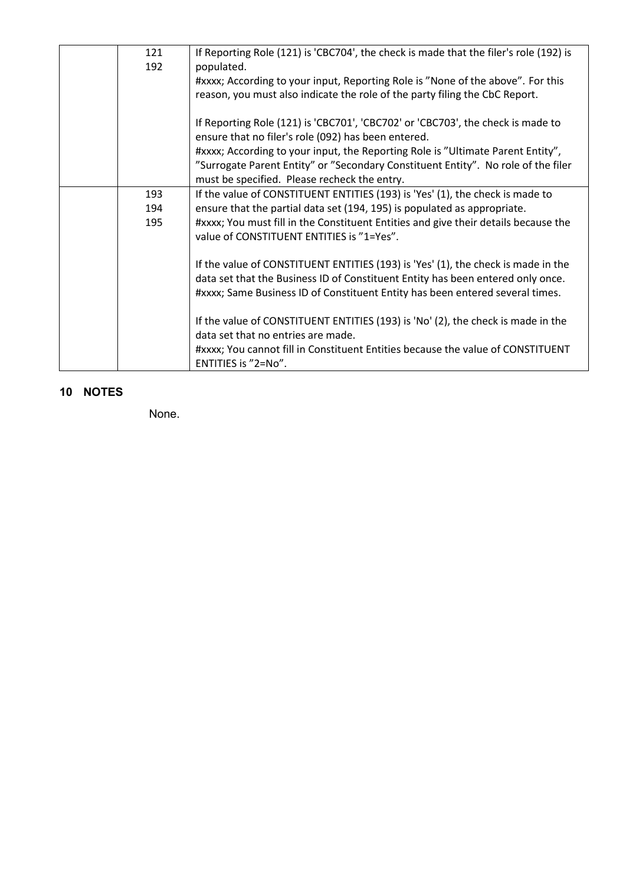| 121<br>192 | If Reporting Role (121) is 'CBC704', the check is made that the filer's role (192) is<br>populated.                                    |
|------------|----------------------------------------------------------------------------------------------------------------------------------------|
|            | #xxxx; According to your input, Reporting Role is "None of the above". For this                                                        |
|            | reason, you must also indicate the role of the party filing the CbC Report.                                                            |
|            | If Reporting Role (121) is 'CBC701', 'CBC702' or 'CBC703', the check is made to<br>ensure that no filer's role (092) has been entered. |
|            | #xxxx; According to your input, the Reporting Role is "Ultimate Parent Entity",                                                        |
|            | "Surrogate Parent Entity" or "Secondary Constituent Entity". No role of the filer                                                      |
|            | must be specified. Please recheck the entry.                                                                                           |
| 193        | If the value of CONSTITUENT ENTITIES (193) is 'Yes' (1), the check is made to                                                          |
| 194        | ensure that the partial data set (194, 195) is populated as appropriate.                                                               |
| 195        | #xxxx; You must fill in the Constituent Entities and give their details because the                                                    |
|            | value of CONSTITUENT ENTITIES is "1=Yes".                                                                                              |
|            | If the value of CONSTITUENT ENTITIES (193) is 'Yes' (1), the check is made in the                                                      |
|            | data set that the Business ID of Constituent Entity has been entered only once.                                                        |
|            | #xxxx; Same Business ID of Constituent Entity has been entered several times.                                                          |
|            | If the value of CONSTITUENT ENTITIES (193) is 'No' (2), the check is made in the                                                       |
|            | data set that no entries are made.                                                                                                     |
|            | #xxxx; You cannot fill in Constituent Entities because the value of CONSTITUENT                                                        |
|            | ENTITIES is "2=No".                                                                                                                    |

# <span id="page-4-0"></span>**10 NOTES**

None.